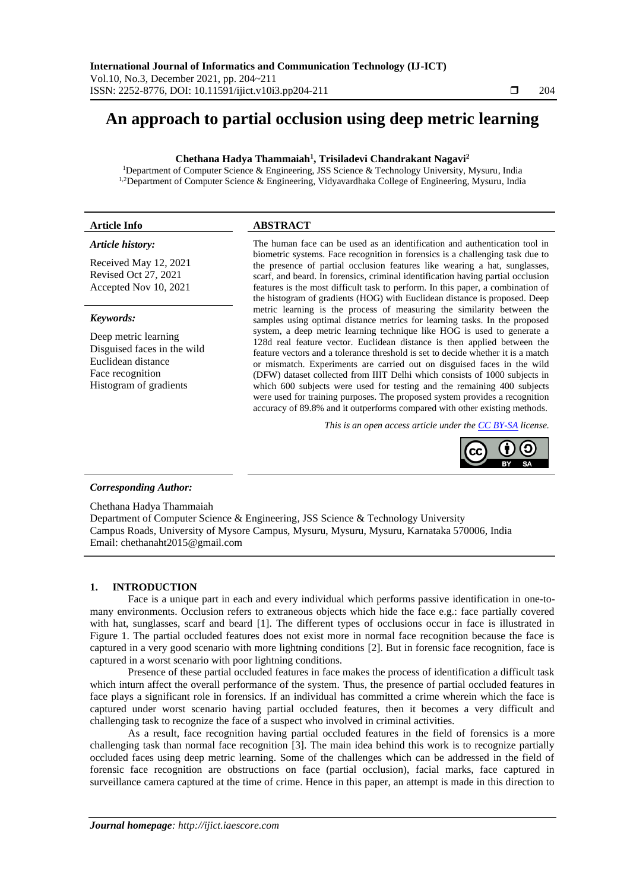# **An approach to partial occlusion using deep metric learning**

# **Chethana Hadya Thammaiah<sup>1</sup> , Trisiladevi Chandrakant Nagavi<sup>2</sup>**

<sup>1</sup>Department of Computer Science & Engineering, JSS Science & Technology University, Mysuru, India <sup>1,2</sup>Department of Computer Science & Engineering, Vidyavardhaka College of Engineering, Mysuru, India

#### **Article Info ABSTRACT**

# *Article history:*

Received May 12, 2021 Revised Oct 27, 2021 Accepted Nov 10, 2021

#### *Keywords:*

Deep metric learning Disguised faces in the wild Euclidean distance Face recognition Histogram of gradients

The human face can be used as an identification and authentication tool in biometric systems. Face recognition in forensics is a challenging task due to the presence of partial occlusion features like wearing a hat, sunglasses, scarf, and beard. In forensics, criminal identification having partial occlusion features is the most difficult task to perform. In this paper, a combination of the histogram of gradients (HOG) with Euclidean distance is proposed. Deep metric learning is the process of measuring the similarity between the samples using optimal distance metrics for learning tasks. In the proposed system, a deep metric learning technique like HOG is used to generate a 128d real feature vector. Euclidean distance is then applied between the feature vectors and a tolerance threshold is set to decide whether it is a match or mismatch. Experiments are carried out on disguised faces in the wild (DFW) dataset collected from IIIT Delhi which consists of 1000 subjects in which 600 subjects were used for testing and the remaining 400 subjects were used for training purposes. The proposed system provides a recognition accuracy of 89.8% and it outperforms compared with other existing methods.

*This is an open access article under the [CC BY-SA](https://creativecommons.org/licenses/by-sa/4.0/) license.*



#### *Corresponding Author:*

Chethana Hadya Thammaiah

Department of Computer Science & Engineering, JSS Science & Technology University Campus Roads, University of Mysore Campus, Mysuru, Mysuru, Mysuru, Karnataka 570006, India Email: chethanaht2015@gmail.com

# **1. INTRODUCTION**

Face is a unique part in each and every individual which performs passive identification in one-tomany environments. Occlusion refers to extraneous objects which hide the face e.g.: face partially covered with hat, sunglasses, scarf and beard [1]. The different types of occlusions occur in face is illustrated in Figure 1. The partial occluded features does not exist more in normal face recognition because the face is captured in a very good scenario with more lightning conditions [2]. But in forensic face recognition, face is captured in a worst scenario with poor lightning conditions.

Presence of these partial occluded features in face makes the process of identification a difficult task which inturn affect the overall performance of the system. Thus, the presence of partial occluded features in face plays a significant role in forensics. If an individual has committed a crime wherein which the face is captured under worst scenario having partial occluded features, then it becomes a very difficult and challenging task to recognize the face of a suspect who involved in criminal activities.

As a result, face recognition having partial occluded features in the field of forensics is a more challenging task than normal face recognition [3]. The main idea behind this work is to recognize partially occluded faces using deep metric learning. Some of the challenges which can be addressed in the field of forensic face recognition are obstructions on face (partial occlusion), facial marks, face captured in surveillance camera captured at the time of crime. Hence in this paper, an attempt is made in this direction to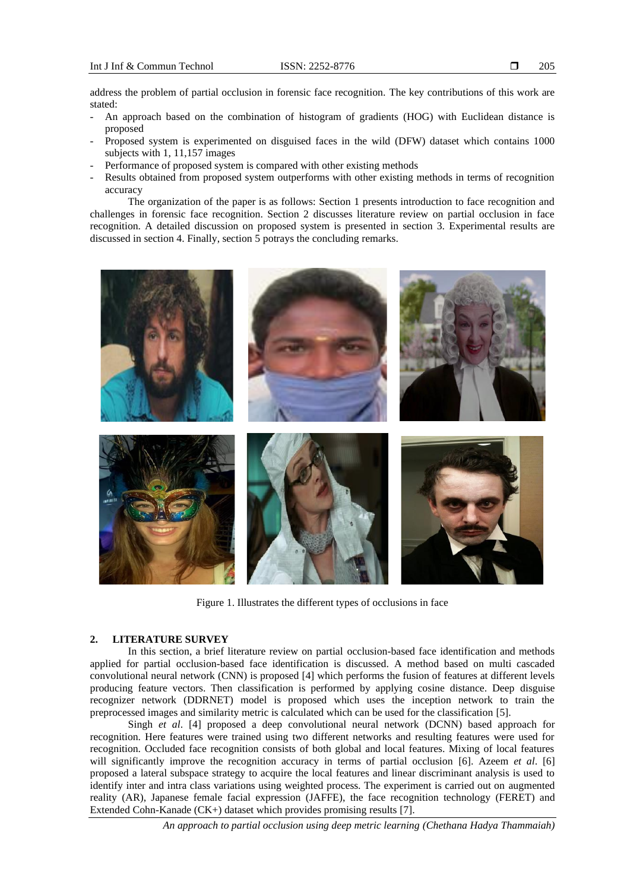address the problem of partial occlusion in forensic face recognition. The key contributions of this work are stated:

- An approach based on the combination of histogram of gradients (HOG) with Euclidean distance is proposed
- Proposed system is experimented on disguised faces in the wild (DFW) dataset which contains 1000 subjects with 1, 11,157 images
- Performance of proposed system is compared with other existing methods
- Results obtained from proposed system outperforms with other existing methods in terms of recognition accuracy

The organization of the paper is as follows: Section 1 presents introduction to face recognition and challenges in forensic face recognition. Section 2 discusses literature review on partial occlusion in face recognition. A detailed discussion on proposed system is presented in section 3. Experimental results are discussed in section 4. Finally, section 5 potrays the concluding remarks.



Figure 1. Illustrates the different types of occlusions in face

# **2. LITERATURE SURVEY**

In this section, a brief literature review on partial occlusion-based face identification and methods applied for partial occlusion-based face identification is discussed. A method based on multi cascaded convolutional neural network (CNN) is proposed [4] which performs the fusion of features at different levels producing feature vectors. Then classification is performed by applying cosine distance. Deep disguise recognizer network (DDRNET) model is proposed which uses the inception network to train the preprocessed images and similarity metric is calculated which can be used for the classification [5].

Singh *et al*. [4] proposed a deep convolutional neural network (DCNN) based approach for recognition. Here features were trained using two different networks and resulting features were used for recognition. Occluded face recognition consists of both global and local features. Mixing of local features will significantly improve the recognition accuracy in terms of partial occlusion [6]. Azeem *et al*. [6] proposed a lateral subspace strategy to acquire the local features and linear discriminant analysis is used to identify inter and intra class variations using weighted process. The experiment is carried out on augmented reality (AR), Japanese female facial expression (JAFFE), the face recognition technology (FERET) and Extended Cohn-Kanade (CK+) dataset which provides promising results [7].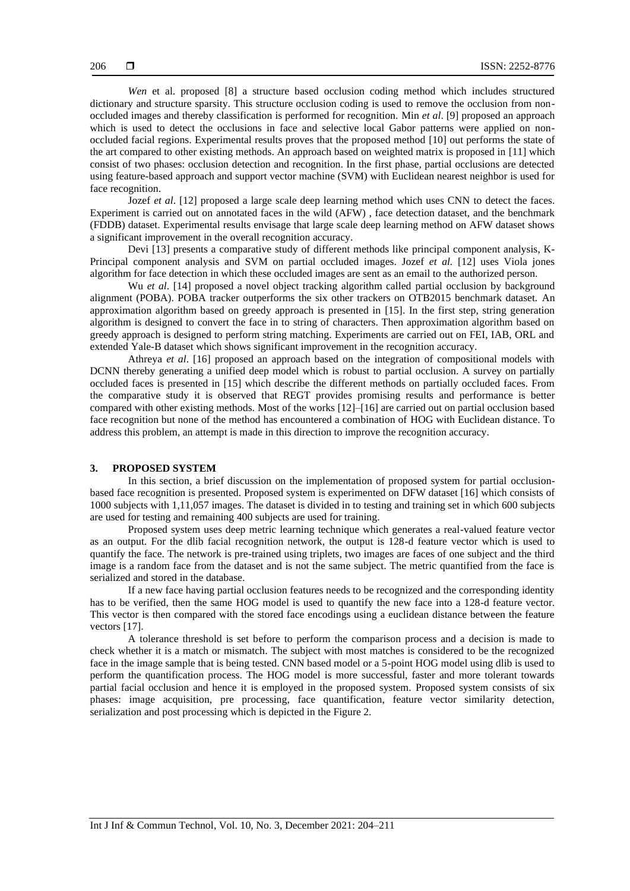*Wen* et al. proposed [8] a structure based occlusion coding method which includes structured dictionary and structure sparsity. This structure occlusion coding is used to remove the occlusion from nonoccluded images and thereby classification is performed for recognition. Min *et al*. [9] proposed an approach which is used to detect the occlusions in face and selective local Gabor patterns were applied on nonoccluded facial regions. Experimental results proves that the proposed method [10] out performs the state of the art compared to other existing methods. An approach based on weighted matrix is proposed in [11] which consist of two phases: occlusion detection and recognition. In the first phase, partial occlusions are detected using feature-based approach and support vector machine (SVM) with Euclidean nearest neighbor is used for face recognition.

Jozef *et al*. [12] proposed a large scale deep learning method which uses CNN to detect the faces. Experiment is carried out on annotated faces in the wild (AFW) , face detection dataset, and the benchmark (FDDB) dataset. Experimental results envisage that large scale deep learning method on AFW dataset shows a significant improvement in the overall recognition accuracy.

Devi [13] presents a comparative study of different methods like principal component analysis, K-Principal component analysis and SVM on partial occluded images. Jozef *et al.* [12] uses Viola jones algorithm for face detection in which these occluded images are sent as an email to the authorized person.

Wu *et al.* [14] proposed a novel object tracking algorithm called partial occlusion by background alignment (POBA). POBA tracker outperforms the six other trackers on OTB2015 benchmark dataset. An approximation algorithm based on greedy approach is presented in [15]. In the first step, string generation algorithm is designed to convert the face in to string of characters. Then approximation algorithm based on greedy approach is designed to perform string matching. Experiments are carried out on FEI, IAB, ORL and extended Yale-B dataset which shows significant improvement in the recognition accuracy.

Athreya *et al*. [16] proposed an approach based on the integration of compositional models with DCNN thereby generating a unified deep model which is robust to partial occlusion. A survey on partially occluded faces is presented in [15] which describe the different methods on partially occluded faces. From the comparative study it is observed that REGT provides promising results and performance is better compared with other existing methods. Most of the works [12]–[16] are carried out on partial occlusion based face recognition but none of the method has encountered a combination of HOG with Euclidean distance. To address this problem, an attempt is made in this direction to improve the recognition accuracy.

## **3. PROPOSED SYSTEM**

In this section, a brief discussion on the implementation of proposed system for partial occlusionbased face recognition is presented. Proposed system is experimented on DFW dataset [16] which consists of 1000 subjects with 1,11,057 images. The dataset is divided in to testing and training set in which 600 subjects are used for testing and remaining 400 subjects are used for training.

Proposed system uses deep metric learning technique which generates a real-valued feature vector as an output. For the dlib facial recognition network, the output is 128-d feature vector which is used to quantify the face. The network is pre-trained using triplets, two images are faces of one subject and the third image is a random face from the dataset and is not the same subject. The metric quantified from the face is serialized and stored in the database.

If a new face having partial occlusion features needs to be recognized and the corresponding identity has to be verified, then the same HOG model is used to quantify the new face into a 128-d feature vector. This vector is then compared with the stored face encodings using a euclidean distance between the feature vectors [17].

A tolerance threshold is set before to perform the comparison process and a decision is made to check whether it is a match or mismatch. The subject with most matches is considered to be the recognized face in the image sample that is being tested. CNN based model or a 5-point HOG model using dlib is used to perform the quantification process. The HOG model is more successful, faster and more tolerant towards partial facial occlusion and hence it is employed in the proposed system. Proposed system consists of six phases: image acquisition, pre processing, face quantification, feature vector similarity detection, serialization and post processing which is depicted in the Figure 2.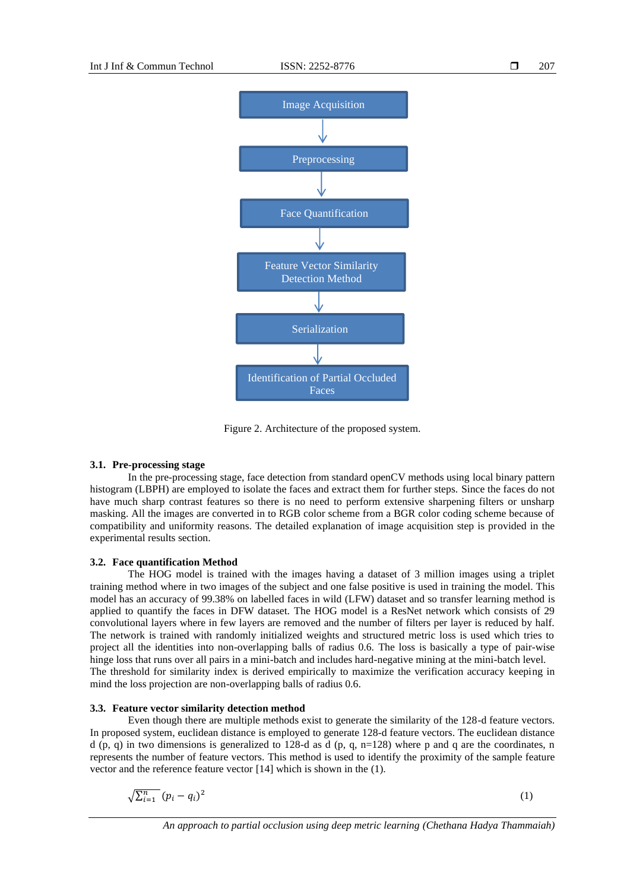

Figure 2. Architecture of the proposed system.

#### **3.1. Pre-processing stage**

In the pre-processing stage, face detection from standard openCV methods using local binary pattern histogram (LBPH) are employed to isolate the faces and extract them for further steps. Since the faces do not have much sharp contrast features so there is no need to perform extensive sharpening filters or unsharp masking. All the images are converted in to RGB color scheme from a BGR color coding scheme because of compatibility and uniformity reasons. The detailed explanation of image acquisition step is provided in the experimental results section.

## **3.2. Face quantification Method**

The HOG model is trained with the images having a dataset of 3 million images using a triplet training method where in two images of the subject and one false positive is used in training the model. This model has an accuracy of 99.38% on labelled faces in wild (LFW) dataset and so transfer learning method is applied to quantify the faces in DFW dataset. The HOG model is a ResNet network which consists of 29 convolutional layers where in few layers are removed and the number of filters per layer is reduced by half. The network is trained with randomly initialized weights and structured metric loss is used which tries to project all the identities into non-overlapping balls of radius 0.6. The loss is basically a type of pair-wise hinge loss that runs over all pairs in a mini-batch and includes hard-negative mining at the mini-batch level. The threshold for similarity index is derived empirically to maximize the verification accuracy keeping in mind the loss projection are non-overlapping balls of radius 0.6.

#### **3.3. Feature vector similarity detection method**

Even though there are multiple methods exist to generate the similarity of the 128-d feature vectors. In proposed system, euclidean distance is employed to generate 128-d feature vectors. The euclidean distance d (p, q) in two dimensions is generalized to 128-d as d (p, q,  $n=128$ ) where p and q are the coordinates, n represents the number of feature vectors. This method is used to identify the proximity of the sample feature vector and the reference feature vector [14] which is shown in the (1).

$$
\sqrt{\sum_{i=1}^{n} (p_i - q_i)^2} \tag{1}
$$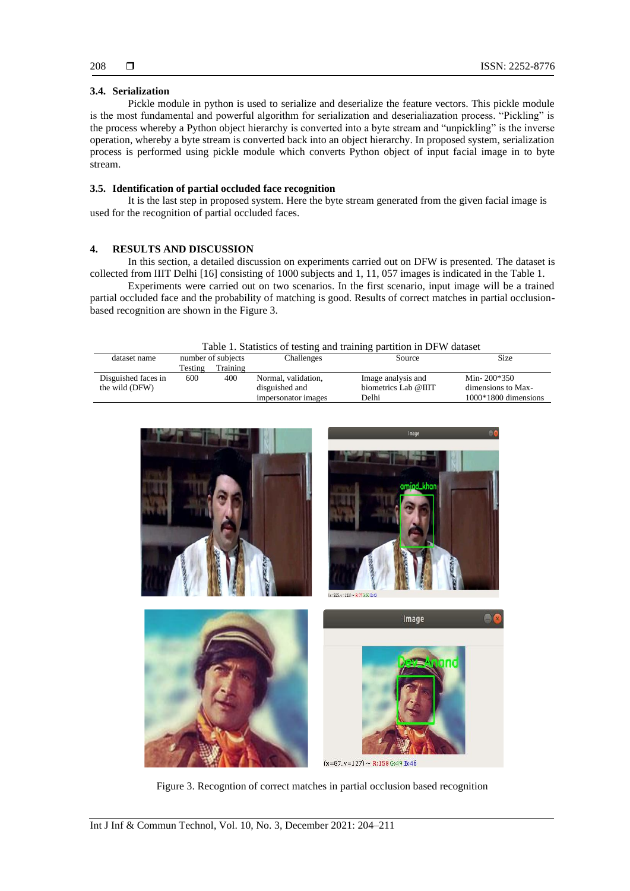# **3.4. Serialization**

Pickle module in python is used to serialize and deserialize the feature vectors. This pickle module is the most fundamental and powerful algorithm for serialization and deserialiazation process. "Pickling" is the process whereby a Python object hierarchy is converted into a byte stream and "unpickling" is the inverse operation, whereby a byte stream is converted back into an object hierarchy. In proposed system, serialization process is performed using pickle module which converts Python object of input facial image in to byte stream.

# **3.5. Identification of partial occluded face recognition**

It is the last step in proposed system. Here the byte stream generated from the given facial image is used for the recognition of partial occluded faces.

# **4. RESULTS AND DISCUSSION**

In this section, a detailed discussion on experiments carried out on DFW is presented. The dataset is collected from IIIT Delhi [16] consisting of 1000 subjects and 1, 11, 057 images is indicated in the Table 1.

Experiments were carried out on two scenarios. In the first scenario, input image will be a trained partial occluded face and the probability of matching is good. Results of correct matches in partial occlusionbased recognition are shown in the Figure 3.

| Table 1. Statistics of testing and training partition in DFW dataset |  |
|----------------------------------------------------------------------|--|
|----------------------------------------------------------------------|--|

| dataset name        |         | number of subjects | Challenges          | Source               | Size                   |
|---------------------|---------|--------------------|---------------------|----------------------|------------------------|
|                     | Testing | Training           |                     |                      |                        |
| Disguished faces in | 600     | 400                | Normal, validation, | Image analysis and   | Min- $200*350$         |
| the wild (DFW)      |         |                    | disguished and      | biometrics Lab @IIIT | dimensions to Max-     |
|                     |         |                    | impersonator images | Delhi                | $1000*1800$ dimensions |



Figure 3. Recogntion of correct matches in partial occlusion based recognition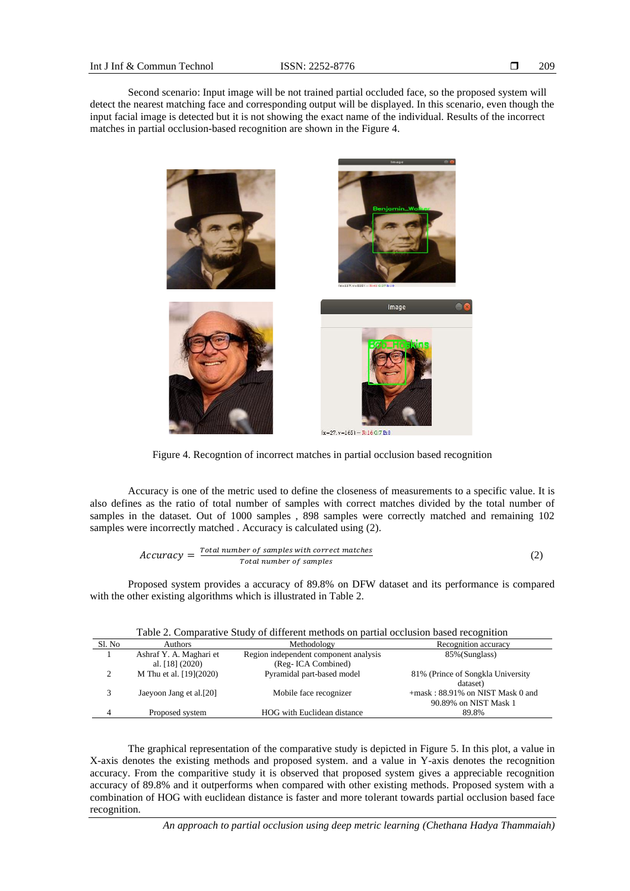Second scenario: Input image will be not trained partial occluded face, so the proposed system will detect the nearest matching face and corresponding output will be displayed. In this scenario, even though the input facial image is detected but it is not showing the exact name of the individual. Results of the incorrect matches in partial occlusion-based recognition are shown in the Figure 4.



Figure 4. Recogntion of incorrect matches in partial occlusion based recognition

Accuracy is one of the metric used to define the closeness of measurements to a specific value. It is also defines as the ratio of total number of samples with correct matches divided by the total number of samples in the dataset. Out of 1000 samples , 898 samples were correctly matched and remaining 102 samples were incorrectly matched . Accuracy is calculated using (2).

$$
Accuracy = \frac{Total number of samples with correct matches}{Total number of samples}
$$
 (2)

Proposed system provides a accuracy of 89.8% on DFW dataset and its performance is compared with the other existing algorithms which is illustrated in Table 2.

| Table 2. Comparative Study of different methods on partial occlusion based recognition |                                              |                                                              |                                                              |  |  |  |
|----------------------------------------------------------------------------------------|----------------------------------------------|--------------------------------------------------------------|--------------------------------------------------------------|--|--|--|
| Sl. No                                                                                 | <b>Authors</b>                               | Methodology                                                  | Recognition accuracy                                         |  |  |  |
|                                                                                        | Ashraf Y. A. Maghari et<br>al. $[18] (2020)$ | Region independent component analysis<br>(Reg- ICA Combined) | 85% (Sunglass)                                               |  |  |  |
| $\mathcal{D}$                                                                          | M Thu et al. [19](2020)                      | Pyramidal part-based model                                   | 81% (Prince of Songkla University<br>dataset)                |  |  |  |
| 3                                                                                      | Jaeyoon Jang et al.[20]                      | Mobile face recognizer                                       | $+mask: 88.91\%$ on NIST Mask 0 and<br>90.89% on NIST Mask 1 |  |  |  |
| 4                                                                                      | Proposed system                              | HOG with Euclidean distance                                  | 89.8%                                                        |  |  |  |

The graphical representation of the comparative study is depicted in Figure 5. In this plot, a value in X-axis denotes the existing methods and proposed system. and a value in Y-axis denotes the recognition accuracy. From the comparitive study it is observed that proposed system gives a appreciable recognition accuracy of 89.8% and it outperforms when compared with other existing methods. Proposed system with a combination of HOG with euclidean distance is faster and more tolerant towards partial occlusion based face recognition.

*An approach to partial occlusion using deep metric learning (Chethana Hadya Thammaiah)*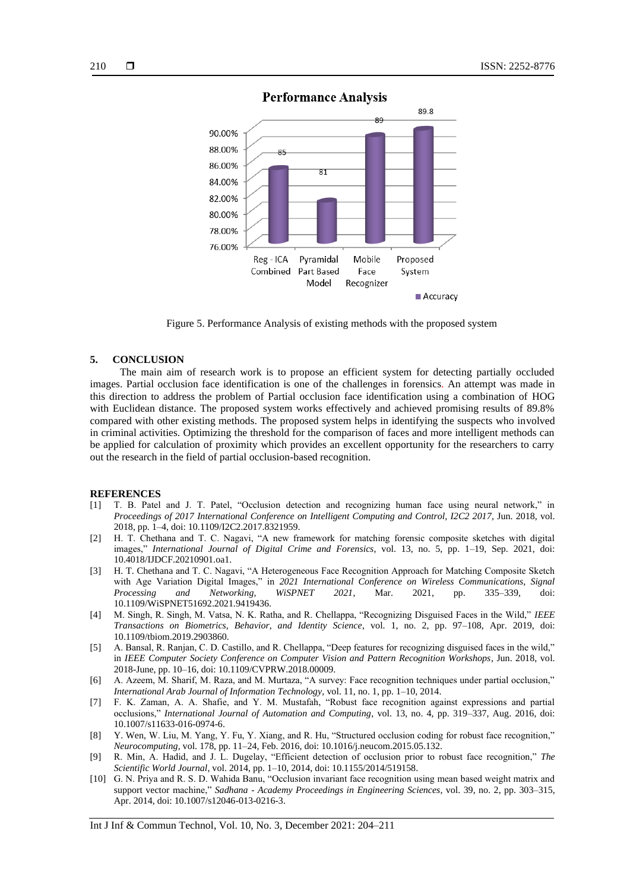

# **Performance Analysis**

Figure 5. Performance Analysis of existing methods with the proposed system

#### **5. CONCLUSION**

The main aim of research work is to propose an efficient system for detecting partially occluded images. Partial occlusion face identification is one of the challenges in forensics. An attempt was made in this direction to address the problem of Partial occlusion face identification using a combination of HOG with Euclidean distance. The proposed system works effectively and achieved promising results of 89.8% compared with other existing methods. The proposed system helps in identifying the suspects who involved in criminal activities. Optimizing the threshold for the comparison of faces and more intelligent methods can be applied for calculation of proximity which provides an excellent opportunity for the researchers to carry out the research in the field of partial occlusion-based recognition.

#### **REFERENCES**

- [1] T. B. Patel and J. T. Patel, "Occlusion detection and recognizing human face using neural network," in *Proceedings of 2017 International Conference on Intelligent Computing and Control, I2C2 2017*, Jun. 2018, vol. 2018, pp. 1–4, doi: 10.1109/I2C2.2017.8321959.
- [2] H. T. Chethana and T. C. Nagavi, "A new framework for matching forensic composite sketches with digital images," *International Journal of Digital Crime and Forensics*, vol. 13, no. 5, pp. 1–19, Sep. 2021, doi: 10.4018/IJDCF.20210901.oa1.
- [3] H. T. Chethana and T. C. Nagavi, "A Heterogeneous Face Recognition Approach for Matching Composite Sketch with Age Variation Digital Images," in *2021 International Conference on Wireless Communications, Signal Processing and Networking, WiSPNET 2021*, Mar. 2021, pp. 335–339, doi: 10.1109/WiSPNET51692.2021.9419436.
- [4] M. Singh, R. Singh, M. Vatsa, N. K. Ratha, and R. Chellappa, "Recognizing Disguised Faces in the Wild," *IEEE Transactions on Biometrics, Behavior, and Identity Science*, vol. 1, no. 2, pp. 97–108, Apr. 2019, doi: 10.1109/tbiom.2019.2903860.
- [5] A. Bansal, R. Ranjan, C. D. Castillo, and R. Chellappa, "Deep features for recognizing disguised faces in the wild," in *IEEE Computer Society Conference on Computer Vision and Pattern Recognition Workshops*, Jun. 2018, vol. 2018-June, pp. 10–16, doi: 10.1109/CVPRW.2018.00009.
- [6] A. Azeem, M. Sharif, M. Raza, and M. Murtaza, "A survey: Face recognition techniques under partial occlusion," *International Arab Journal of Information Technology*, vol. 11, no. 1, pp. 1–10, 2014.
- [7] F. K. Zaman, A. A. Shafie, and Y. M. Mustafah, "Robust face recognition against expressions and partial occlusions," *International Journal of Automation and Computing*, vol. 13, no. 4, pp. 319–337, Aug. 2016, doi: 10.1007/s11633-016-0974-6.
- [8] Y. Wen, W. Liu, M. Yang, Y. Fu, Y. Xiang, and R. Hu, "Structured occlusion coding for robust face recognition," *Neurocomputing*, vol. 178, pp. 11–24, Feb. 2016, doi: 10.1016/j.neucom.2015.05.132.
- [9] R. Min, A. Hadid, and J. L. Dugelay, "Efficient detection of occlusion prior to robust face recognition," *The Scientific World Journal*, vol. 2014, pp. 1–10, 2014, doi: 10.1155/2014/519158.
- [10] G. N. Priya and R. S. D. Wahida Banu, "Occlusion invariant face recognition using mean based weight matrix and support vector machine," *Sadhana - Academy Proceedings in Engineering Sciences*, vol. 39, no. 2, pp. 303–315, Apr. 2014, doi: 10.1007/s12046-013-0216-3.